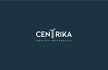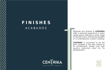# **F I N I S H E S** A C A B A D O S



Ma terials and finishes in **CENTRIK A** offer a sensorial experience in e very single space, featuring a wide range of neutral colors, with all the benefits of a contemporary modern building.

**CENTRIK A** is conceived to be the best complex in the area, thanks to its architectonic design and high quality materials used for its de velopment.

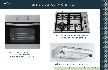

### **A P P L I A N C E S** kitchen units



Stainless steel static gas oven with front controls Brand Teka model TGE-724



Stainless steel 4 burner gas cooktop 56cm x 51cm with side controls



#### Stainless steel Hood with cassette filter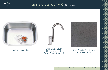

### **A P P L I A N C E S** kitchen units





Brass Single Lever Kitchen Mixer with Swivel Spout (Chrome)



Stainless steel sink Gray Grass Shake Gray Gray Quartz Countertop with 10cm socle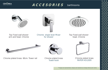

### $A \ C \ C \ E \ S \ O \ R \ I \ E \ S$  barthrooms



Towel hook

PAPER HOLDER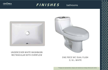

### $F/N/SHES$  bathrooms



#### UNDERCOVER WHITE WASHBASIN RECTANGULAR WITH OVERFLOW



#### ONE PIECE WC DUAL FLUSH 3 / 6 L. WHITE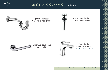

## $A \ C \ C \ E \ S \ O \ R \ I \ E \ S$  bathrooms



Against washbasin Chrome plated brass



Against washbasin Chrome plated brass



Chrome plated brass Paper Holder



Washbasin Single Lever Mixer Chrome plated brass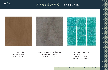

#### $F/N/SHES$  flooring & walls



Wood look tile Units Balconies 20 x 120 cm

Marble, Santo Tomás style on sink countertop with 10 cm socle

Turquoise Green Pool Glass Mosaic Tile 40cm x 40cm for pool and jacuzzi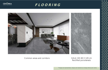

### **F L O O R I N G**



#### Common areas and corridors

GALA 101 60 X 120 cm Rectified porcelanato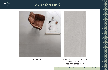

### **F L O O R I N G**



Interior of units

#### BURLINGTON 60 X 120cm 6mm NATURAL Rectified porcelanato

\*\*images are representative, designs and materials can change without prior notice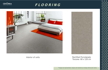

### **F L O O R I N G**







#### Rectified Porcelanato Toscana 60 x 120 cm